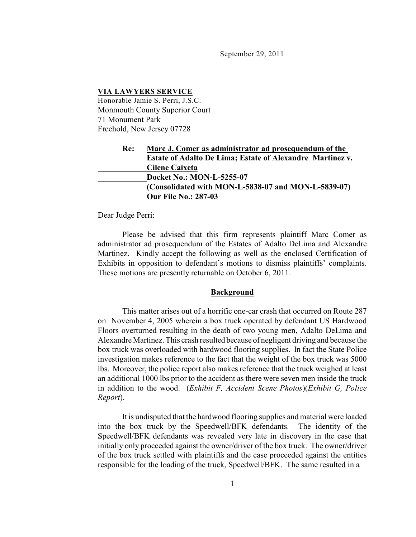September 29, 2011

#### **VIA LAWYERS SERVICE**

Honorable Jamie S. Perri, J.S.C. Monmouth County Superior Court 71 Monument Park Freehold, New Jersey 07728

# **Re: Marc J. Comer as administrator ad prosequendum of the Estate of Adalto De Lima; Estate of Alexandre Martinez v. Cilene Caixeta Docket No.: MON-L-5255-07 (Consolidated with MON-L-5838-07 and MON-L-5839-07) Our File No.: 287-03**

Dear Judge Perri:

Please be advised that this firm represents plaintiff Marc Comer as administrator ad prosequendum of the Estates of Adalto DeLima and Alexandre Martinez. Kindly accept the following as well as the enclosed Certification of Exhibits in opposition to defendant's motions to dismiss plaintiffs' complaints. These motions are presently returnable on October 6, 2011.

#### **Background**

This matter arises out of a horrific one-car crash that occurred on Route 287 on November 4, 2005 wherein a box truck operated by defendant US Hardwood Floors overturned resulting in the death of two young men, Adalto DeLima and Alexandre Martinez. This crash resulted because of negligent driving and because the box truck was overloaded with hardwood flooring supplies. In fact the State Police investigation makes reference to the fact that the weight of the box truck was 5000 lbs. Moreover, the police report also makes reference that the truck weighed at least an additional 1000 lbs prior to the accident as there were seven men inside the truck in addition to the wood. (*Exhibit F, Accident Scene Photos*)(*Exhibit G, Police Report*).

It is undisputed that the hardwood flooring supplies and material were loaded into the box truck by the Speedwell/BFK defendants. The identity of the Speedwell/BFK defendants was revealed very late in discovery in the case that initially only proceeded against the owner/driver of the box truck. The owner/driver of the box truck settled with plaintiffs and the case proceeded against the entities responsible for the loading of the truck, Speedwell/BFK. The same resulted in a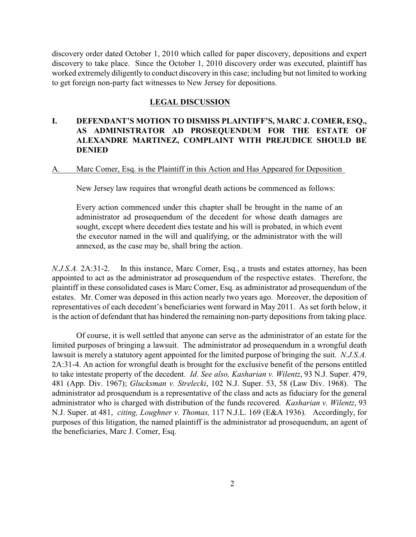discovery order dated October 1, 2010 which called for paper discovery, depositions and expert discovery to take place. Since the October 1, 2010 discovery order was executed, plaintiff has worked extremely diligently to conduct discovery in this case; including but not limited to working to get foreign non-party fact witnesses to New Jersey for depositions.

### **LEGAL DISCUSSION**

# **I. DEFENDANT'S MOTION TO DISMISS PLAINTIFF'S, MARC J. COMER, ESQ., AS ADMINISTRATOR AD PROSEQUENDUM FOR THE ESTATE OF ALEXANDRE MARTINEZ, COMPLAINT WITH PREJUDICE SHOULD BE DENIED**

### A. Marc Comer, Esq. is the Plaintiff in this Action and Has Appeared for Deposition

New Jersey law requires that wrongful death actions be commenced as follows:

Every action commenced under this chapter shall be brought in the name of an administrator ad prosequendum of the decedent for whose death damages are sought, except where decedent dies testate and his will is probated, in which event the executor named in the will and qualifying, or the administrator with the will annexed, as the case may be, shall bring the action.

*N.J.S.A.* 2A:31-2. In this instance, Marc Comer, Esq., a trusts and estates attorney, has been appointed to act as the administrator ad prosequendum of the respective estates. Therefore, the plaintiff in these consolidated cases is Marc Comer, Esq. as administrator ad prosequendum of the estates. Mr. Comer was deposed in this action nearly two years ago. Moreover, the deposition of representatives of each decedent's beneficiaries went forward in May 2011. As set forth below, it is the action of defendant that has hindered the remaining non-party depositions from taking place.

Of course, it is well settled that anyone can serve as the administrator of an estate for the limited purposes of bringing a lawsuit. The administrator ad prosequendum in a wrongful death lawsuit is merely a statutory agent appointed for the limited purpose of bringing the suit. *N.J.S.A.* 2A:31-4. An action for wrongful death is brought for the exclusive benefit of the persons entitled to take intestate property of the decedent. *Id*. *See also, Kasharian v. Wilentz*, 93 N.J. Super. 479, 481 (App. Div. 1967); *Glucksman v. Strelecki*, 102 N.J. Super. 53, 58 (Law Div. 1968). The administrator ad prosquendum is a representative of the class and acts as fiduciary for the general administrator who is charged with distribution of the funds recovered. *Kasharian v. Wilentz*, 93 N.J. Super. at 481, *citing, Loughner v. Thomas,* 117 N.J.L. 169 (E&A 1936). Accordingly, for purposes of this litigation, the named plaintiff is the administrator ad prosequendum, an agent of the beneficiaries, Marc J. Comer, Esq.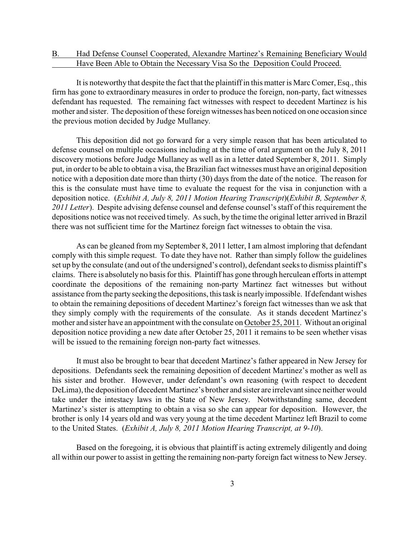### B. Had Defense Counsel Cooperated, Alexandre Martinez's Remaining Beneficiary Would Have Been Able to Obtain the Necessary Visa So the Deposition Could Proceed.

It is noteworthy that despite the fact that the plaintiff in this matter is Marc Comer, Esq., this firm has gone to extraordinary measures in order to produce the foreign, non-party, fact witnesses defendant has requested. The remaining fact witnesses with respect to decedent Martinez is his mother and sister. The deposition of these foreign witnesses has been noticed on one occasion since the previous motion decided by Judge Mullaney.

This deposition did not go forward for a very simple reason that has been articulated to defense counsel on multiple occasions including at the time of oral argument on the July 8, 2011 discovery motions before Judge Mullaney as well as in a letter dated September 8, 2011. Simply put, in order to be able to obtain a visa, the Brazilian fact witnesses must have an original deposition notice with a deposition date more than thirty (30) days from the date of the notice. The reason for this is the consulate must have time to evaluate the request for the visa in conjunction with a deposition notice. (*Exhibit A, July 8, 2011 Motion Hearing Transcript*)(*Exhibit B, September 8, 2011 Letter*). Despite advising defense counsel and defense counsel's staff of this requirement the depositions notice was not received timely. As such, by the time the original letter arrived in Brazil there was not sufficient time for the Martinez foreign fact witnesses to obtain the visa.

As can be gleaned from my September 8, 2011 letter, I am almost imploring that defendant comply with this simple request. To date they have not. Rather than simply follow the guidelines set up by the consulate (and out of the undersigned's control), defendant seeks to dismiss plaintiff's claims. There is absolutely no basis for this. Plaintiff has gone through herculean efforts in attempt coordinate the depositions of the remaining non-party Martinez fact witnesses but without assistance from the party seeking the depositions, this task is nearlyimpossible. If defendant wishes to obtain the remaining depositions of decedent Martinez's foreign fact witnesses than we ask that they simply comply with the requirements of the consulate. As it stands decedent Martinez's mother and sister have an appointment with the consulate on October 25, 2011. Without an original deposition notice providing a new date after October 25, 2011 it remains to be seen whether visas will be issued to the remaining foreign non-party fact witnesses.

It must also be brought to bear that decedent Martinez's father appeared in New Jersey for depositions. Defendants seek the remaining deposition of decedent Martinez's mother as well as his sister and brother. However, under defendant's own reasoning (with respect to decedent DeLima), the deposition of decedent Martinez's brother and sister are irrelevant since neither would take under the intestacy laws in the State of New Jersey. Notwithstanding same, decedent Martinez's sister is attempting to obtain a visa so she can appear for deposition. However, the brother is only 14 years old and was very young at the time decedent Martinez left Brazil to come to the United States. (*Exhibit A, July 8, 2011 Motion Hearing Transcript, at 9-10*).

Based on the foregoing, it is obvious that plaintiff is acting extremely diligently and doing all within our power to assist in getting the remaining non-party foreign fact witnessto New Jersey.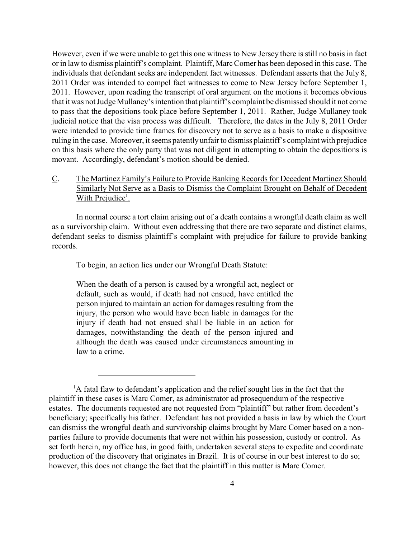However, even if we were unable to get this one witness to New Jersey there is still no basis in fact or in law to dismiss plaintiff's complaint. Plaintiff, Marc Comer has been deposed in this case. The individuals that defendant seeks are independent fact witnesses. Defendant asserts that the July 8, 2011 Order was intended to compel fact witnesses to come to New Jersey before September 1, 2011. However, upon reading the transcript of oral argument on the motions it becomes obvious that it was not Judge Mullaney's intention that plaintiff's complaint be dismissed should it not come to pass that the depositions took place before September 1, 2011. Rather, Judge Mullaney took judicial notice that the visa process was difficult. Therefore, the dates in the July 8, 2011 Order were intended to provide time frames for discovery not to serve as a basis to make a dispositive ruling in the case. Moreover, it seems patently unfair to dismiss plaintiff's complaint with prejudice on this basis where the only party that was not diligent in attempting to obtain the depositions is movant. Accordingly, defendant's motion should be denied.

# C. The Martinez Family's Failure to Provide Banking Records for Decedent Martinez Should Similarly Not Serve as a Basis to Dismiss the Complaint Brought on Behalf of Decedent With Prejudice<sup>1</sup>.

In normal course a tort claim arising out of a death contains a wrongful death claim as well as a survivorship claim. Without even addressing that there are two separate and distinct claims, defendant seeks to dismiss plaintiff's complaint with prejudice for failure to provide banking records.

To begin, an action lies under our Wrongful Death Statute:

When the death of a person is caused by a wrongful act, neglect or default, such as would, if death had not ensued, have entitled the person injured to maintain an action for damages resulting from the injury, the person who would have been liable in damages for the injury if death had not ensued shall be liable in an action for damages, notwithstanding the death of the person injured and although the death was caused under circumstances amounting in law to a crime.

 ${}^{1}$ A fatal flaw to defendant's application and the relief sought lies in the fact that the plaintiff in these cases is Marc Comer, as administrator ad prosequendum of the respective estates. The documents requested are not requested from "plaintiff" but rather from decedent's beneficiary; specifically his father. Defendant has not provided a basis in law by which the Court can dismiss the wrongful death and survivorship claims brought by Marc Comer based on a nonparties failure to provide documents that were not within his possession, custody or control. As set forth herein, my office has, in good faith, undertaken several steps to expedite and coordinate production of the discovery that originates in Brazil. It is of course in our best interest to do so; however, this does not change the fact that the plaintiff in this matter is Marc Comer.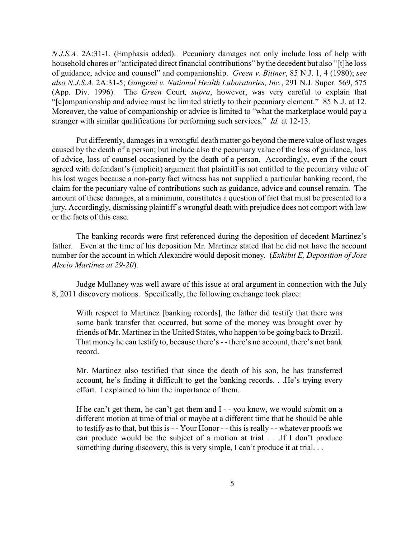*N.J.S.A*. 2A:31-1. (Emphasis added). Pecuniary damages not only include loss of help with household chores or "anticipated direct financial contributions" by the decedent but also "[t]he loss of guidance, advice and counsel" and companionship. *Green v. Bittner*, 85 N.J. 1, 4 (1980); *see also N.J.S.A*. 2A:31-5; *Gangemi v. National Health Laboratories, Inc.*, 291 N.J. Super. 569, 575 (App. Div. 1996). The *Green* Court*, supra*, however, was very careful to explain that "[c]ompanionship and advice must be limited strictly to their pecuniary element." 85 N.J. at 12. Moreover, the value of companionship or advice is limited to "what the marketplace would pay a stranger with similar qualifications for performing such services." *Id.* at 12-13.

Put differently, damages in a wrongful death matter go beyond the mere value of lost wages caused by the death of a person; but include also the pecuniary value of the loss of guidance, loss of advice, loss of counsel occasioned by the death of a person. Accordingly, even if the court agreed with defendant's (implicit) argument that plaintiff is not entitled to the pecuniary value of his lost wages because a non-party fact witness has not supplied a particular banking record, the claim for the pecuniary value of contributions such as guidance, advice and counsel remain. The amount of these damages, at a minimum, constitutes a question of fact that must be presented to a jury. Accordingly, dismissing plaintiff's wrongful death with prejudice does not comport with law or the facts of this case.

The banking records were first referenced during the deposition of decedent Martinez's father. Even at the time of his deposition Mr. Martinez stated that he did not have the account number for the account in which Alexandre would deposit money. (*Exhibit E, Deposition of Jose Alecio Martinez at 29-20*).

Judge Mullaney was well aware of this issue at oral argument in connection with the July 8, 2011 discovery motions. Specifically, the following exchange took place:

With respect to Martinez [banking records], the father did testify that there was some bank transfer that occurred, but some of the money was brought over by friends of Mr. Martinez in the United States, who happen to be going back to Brazil. That money he can testify to, because there's - - there's no account, there's not bank record.

Mr. Martinez also testified that since the death of his son, he has transferred account, he's finding it difficult to get the banking records. . .He's trying every effort. I explained to him the importance of them.

If he can't get them, he can't get them and I - - you know, we would submit on a different motion at time of trial or maybe at a different time that he should be able to testify as to that, but this is - - Your Honor - - this is really - - whatever proofs we can produce would be the subject of a motion at trial . . .If I don't produce something during discovery, this is very simple, I can't produce it at trial. . .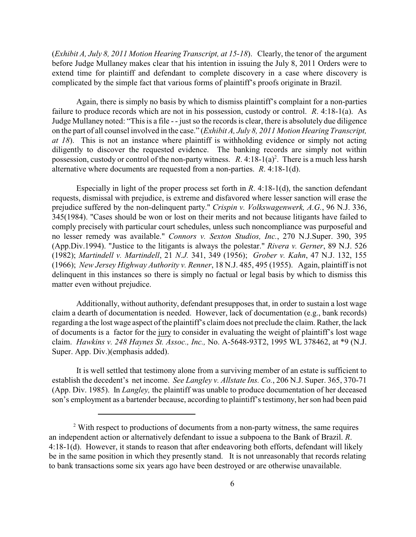(*Exhibit A, July 8, 2011 Motion Hearing Transcript, at 15-18*). Clearly, the tenor of the argument before Judge Mullaney makes clear that his intention in issuing the July 8, 2011 Orders were to extend time for plaintiff and defendant to complete discovery in a case where discovery is complicated by the simple fact that various forms of plaintiff's proofs originate in Brazil.

Again, there is simply no basis by which to dismiss plaintiff's complaint for a non-parties failure to produce records which are not in his possession, custody or control. *R*. 4:18-1(a). As Judge Mullaney noted: "This is a file - - just so the records is clear, there is absolutely due diligence on the part of all counsel involved in the case." (*Exhibit A, July 8, 2011 Motion Hearing Transcript, at 18*). This is not an instance where plaintiff is withholding evidence or simply not acting diligently to discover the requested evidence. The banking records are simply not within possession, custody or control of the non-party witness.  $R$ . 4:18-1(a)<sup>2</sup>. There is a much less harsh alternative where documents are requested from a non-parties. *R*. 4:18-1(d).

Especially in light of the proper process set forth in *R*. 4:18-1(d), the sanction defendant requests, dismissal with prejudice, is extreme and disfavored where lesser sanction will erase the prejudice suffered by the non-delinquent party." *Crispin v. Volkswagenwerk, A.G.*, 96 N.J. 336, 345(1984). "Cases should be won or lost on their merits and not because litigants have failed to comply precisely with particular court schedules, unless such noncompliance was purposeful and no lesser remedy was available." *Connors v. Sexton Studios, Inc.*, 270 N.J.Super. 390, 395 (App.Div.1994). "Justice to the litigants is always the polestar." *Rivera v. Gerner*, 89 N.J. 526 (1982); *Martindell v. Martindell*, 21 *N.J.* 341, 349 (1956); *Grober v. Kahn*, 47 N.J. 132, 155 (1966); *New Jersey Highway Authority v. Renner*, 18 N.J. 485, 495 (1955). Again, plaintiff is not delinquent in this instances so there is simply no factual or legal basis by which to dismiss this matter even without prejudice.

Additionally, without authority, defendant presupposes that, in order to sustain a lost wage claim a dearth of documentation is needed. However, lack of documentation (e.g., bank records) regarding a the lost wage aspect of the plaintiff's claim does not preclude the claim. Rather, the lack of documents is a factor for the jury to consider in evaluating the weight of plaintiff's lost wage claim. *Hawkins v. 248 Haynes St. Assoc., Inc.,* No. A-5648-93T2, 1995 WL 378462, at \*9 (N.J. Super. App. Div.)(emphasis added).

It is well settled that testimony alone from a surviving member of an estate is sufficient to establish the decedent's net income. *See Langley v. Allstate Ins. Co.*, 206 N.J. Super. 365, 370-71 (App. Div. 1985). In *Langley,* the plaintiff was unable to produce documentation of her deceased son's employment as a bartender because, according to plaintiff's testimony, her son had been paid

 $2$  With respect to productions of documents from a non-party witness, the same requires an independent action or alternatively defendant to issue a subpoena to the Bank of Brazil. *R*. 4:18-1(d). However, it stands to reason that after endeavoring both efforts, defendant will likely be in the same position in which they presently stand. It is not unreasonably that records relating to bank transactions some six years ago have been destroyed or are otherwise unavailable.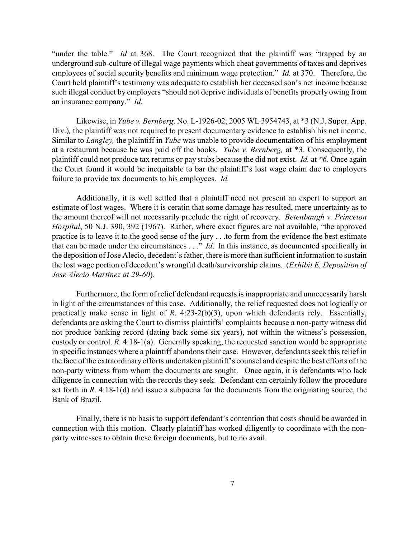"under the table." *Id* at 368. The Court recognized that the plaintiff was "trapped by an underground sub-culture of illegal wage payments which cheat governments of taxes and deprives employees of social security benefits and minimum wage protection." *Id.* at 370. Therefore, the Court held plaintiff's testimony was adequate to establish her deceased son's net income because such illegal conduct by employers "should not deprive individuals of benefits properly owing from an insurance company." *Id.*

Likewise, in *Yube v. Bernberg,* No. L-1926-02, 2005 WL 3954743, at \*3 (N.J. Super. App. Div.), the plaintiff was not required to present documentary evidence to establish his net income. Similar to *Langley,* the plaintiff in *Yube* was unable to provide documentation of his employment at a restaurant because he was paid off the books. *Yube v. Bernberg,* at \*3. Consequently, the plaintiff could not produce tax returns or pay stubs because the did not exist. *Id.* at *\*6.* Once again the Court found it would be inequitable to bar the plaintiff's lost wage claim due to employers failure to provide tax documents to his employees. *Id.*

Additionally, it is well settled that a plaintiff need not present an expert to support an estimate of lost wages. Where it is ceratin that some damage has resulted, mere uncertainty as to the amount thereof will not necessarily preclude the right of recovery. *Betenbaugh v. Princeton Hospital*, 50 N.J. 390, 392 (1967). Rather, where exact figures are not available, "the approved practice is to leave it to the good sense of the jury . . .to form from the evidence the best estimate that can be made under the circumstances . . ." *Id*. In this instance, as documented specifically in the deposition of Jose Alecio, decedent's father, there is more than sufficient information to sustain the lost wage portion of decedent's wrongful death/survivorship claims. (*Exhibit E, Deposition of Jose Alecio Martinez at 29-60*).

Furthermore, the form of relief defendant requests is inappropriate and unnecessarily harsh in light of the circumstances of this case. Additionally, the relief requested does not logically or practically make sense in light of *R*. 4:23-2(b)(3), upon which defendants rely. Essentially, defendants are asking the Court to dismiss plaintiffs' complaints because a non-party witness did not produce banking record (dating back some six years), not within the witness's possession, custody or control. *R*. 4:18-1(a). Generally speaking, the requested sanction would be appropriate in specific instances where a plaintiff abandons their case. However, defendants seek this relief in the face of the extraordinary efforts undertaken plaintiff's counsel and despite the best efforts of the non-party witness from whom the documents are sought. Once again, it is defendants who lack diligence in connection with the records they seek. Defendant can certainly follow the procedure set forth in *R*. 4:18-1(d) and issue a subpoena for the documents from the originating source, the Bank of Brazil.

Finally, there is no basis to support defendant's contention that costs should be awarded in connection with this motion. Clearly plaintiff has worked diligently to coordinate with the nonparty witnesses to obtain these foreign documents, but to no avail.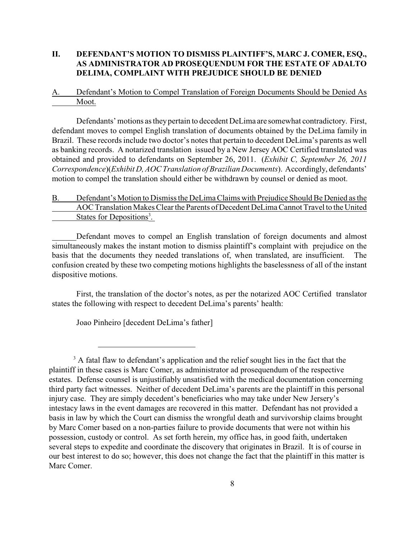### **II. DEFENDANT'S MOTION TO DISMISS PLAINTIFF'S, MARC J. COMER, ESQ., AS ADMINISTRATOR AD PROSEQUENDUM FOR THE ESTATE OF ADALTO DELIMA, COMPLAINT WITH PREJUDICE SHOULD BE DENIED**

A. Defendant's Motion to Compel Translation of Foreign Documents Should be Denied As Moot.

Defendants' motions as they pertain to decedent DeLima are somewhat contradictory. First, defendant moves to compel English translation of documents obtained by the DeLima family in Brazil. These records include two doctor's notes that pertain to decedent DeLima's parents as well as banking records. A notarized translation issued by a New Jersey AOC Certified translated was obtained and provided to defendants on September 26, 2011. (*Exhibit C, September 26, 2011 Correspondence*)(*Exhibit D, AOC Translation of Brazilian Documents*). Accordingly, defendants' motion to compel the translation should either be withdrawn by counsel or denied as moot.

# B. Defendant's Motion to Dismiss the DeLima Claims with Prejudice Should Be Denied as the AOC Translation Makes Clear the Parents of Decedent DeLima Cannot Travel to the United States for Depositions<sup>3</sup>.

Defendant moves to compel an English translation of foreign documents and almost simultaneously makes the instant motion to dismiss plaintiff's complaint with prejudice on the basis that the documents they needed translations of, when translated, are insufficient. The confusion created by these two competing motions highlights the baselessness of all of the instant dispositive motions.

First, the translation of the doctor's notes, as per the notarized AOC Certified translator states the following with respect to decedent DeLima's parents' health:

Joao Pinheiro [decedent DeLima's father]

 $3$  A fatal flaw to defendant's application and the relief sought lies in the fact that the plaintiff in these cases is Marc Comer, as administrator ad prosequendum of the respective estates. Defense counsel is unjustifiably unsatisfied with the medical documentation concerning third party fact witnesses. Neither of decedent DeLima's parents are the plaintiff in this personal injury case. They are simply decedent's beneficiaries who may take under New Jersery's intestacy laws in the event damages are recovered in this matter. Defendant has not provided a basis in law by which the Court can dismiss the wrongful death and survivorship claims brought by Marc Comer based on a non-parties failure to provide documents that were not within his possession, custody or control. As set forth herein, my office has, in good faith, undertaken several steps to expedite and coordinate the discovery that originates in Brazil. It is of course in our best interest to do so; however, this does not change the fact that the plaintiff in this matter is Marc Comer.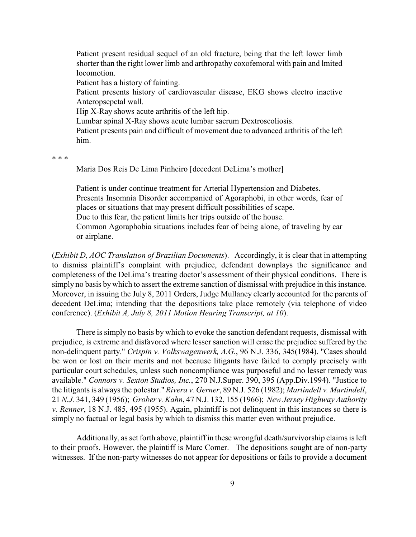Patient present residual sequel of an old fracture, being that the left lower limb shorter than the right lower limb and arthropathy coxofemoral with pain and lmited locomotion.

Patient has a history of fainting.

Patient presents history of cardiovascular disease, EKG shows electro inactive Anteropsepctal wall.

Hip X-Ray shows acute arthritis of the left hip.

Lumbar spinal X-Ray shows acute lumbar sacrum Dextroscoliosis.

Patient presents pain and difficult of movement due to advanced arthritis of the left him.

\* \* \*

Maria Dos Reis De Lima Pinheiro [decedent DeLima's mother]

Patient is under continue treatment for Arterial Hypertension and Diabetes. Presents Insomnia Disorder accompanied of Agoraphobi, in other words, fear of places or situations that may present difficult possibilities of scape. Due to this fear, the patient limits her trips outside of the house. Common Agoraphobia situations includes fear of being alone, of traveling by car or airplane.

(*Exhibit D, AOC Translation of Brazilian Documents*). Accordingly, it is clear that in attempting to dismiss plaintiff's complaint with prejudice, defendant downplays the significance and completeness of the DeLima's treating doctor's assessment of their physical conditions. There is simply no basis by which to assert the extreme sanction of dismissal with prejudice in this instance. Moreover, in issuing the July 8, 2011 Orders, Judge Mullaney clearly accounted for the parents of decedent DeLima; intending that the depositions take place remotely (via telephone of video conference). (*Exhibit A, July 8, 2011 Motion Hearing Transcript, at 10*).

There is simply no basis by which to evoke the sanction defendant requests, dismissal with prejudice, is extreme and disfavored where lesser sanction will erase the prejudice suffered by the non-delinquent party." *Crispin v. Volkswagenwerk, A.G.*, 96 N.J. 336, 345(1984). "Cases should be won or lost on their merits and not because litigants have failed to comply precisely with particular court schedules, unless such noncompliance was purposeful and no lesser remedy was available." *Connors v. Sexton Studios, Inc.*, 270 N.J.Super. 390, 395 (App.Div.1994). "Justice to the litigants is always the polestar." *Rivera v. Gerner*, 89 N.J. 526 (1982); *Martindell v. Martindell*, 21 *N.J.* 341, 349 (1956); *Grober v. Kahn*, 47 N.J. 132, 155 (1966); *New Jersey Highway Authority v. Renner*, 18 N.J. 485, 495 (1955). Again, plaintiff is not delinquent in this instances so there is simply no factual or legal basis by which to dismiss this matter even without prejudice.

Additionally, as set forth above, plaintiff in these wrongful death/survivorship claims is left to their proofs. However, the plaintiff is Marc Comer. The depositions sought are of non-party witnesses. If the non-party witnesses do not appear for depositions or fails to provide a document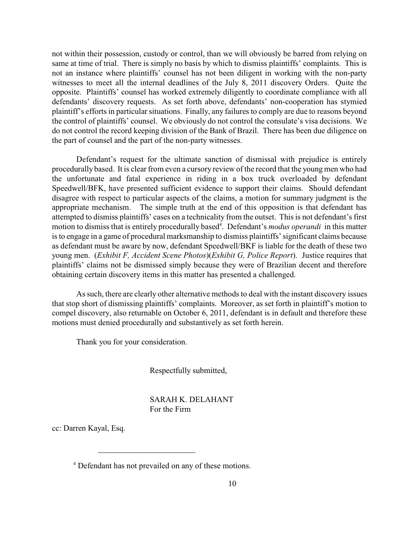not within their possession, custody or control, than we will obviously be barred from relying on same at time of trial. There is simply no basis by which to dismiss plaintiffs' complaints. This is not an instance where plaintiffs' counsel has not been diligent in working with the non-party witnesses to meet all the internal deadlines of the July 8, 2011 discovery Orders. Quite the opposite. Plaintiffs' counsel has worked extremely diligently to coordinate compliance with all defendants' discovery requests. As set forth above, defendants' non-cooperation has stymied plaintiff's efforts in particular situations. Finally, any failures to comply are due to reasons beyond the control of plaintiffs' counsel. We obviously do not control the consulate's visa decisions. We do not control the record keeping division of the Bank of Brazil. There has been due diligence on the part of counsel and the part of the non-party witnesses.

Defendant's request for the ultimate sanction of dismissal with prejudice is entirely procedurally based. It is clear from even a cursory review of the record that the young men who had the unfortunate and fatal experience in riding in a box truck overloaded by defendant Speedwell/BFK, have presented sufficient evidence to support their claims. Should defendant disagree with respect to particular aspects of the claims, a motion for summary judgment is the appropriate mechanism. The simple truth at the end of this opposition is that defendant has attempted to dismiss plaintiffs' cases on a technicality from the outset. This is not defendant's first motion to dismiss that is entirely procedurally based<sup>4</sup>. Defendant's *modus operandi* in this matter is to engage in a game of procedural marksmanship to dismiss plaintiffs' significant claims because as defendant must be aware by now, defendant Speedwell/BKF is liable for the death of these two young men. (*Exhibit F, Accident Scene Photos*)(*Exhibit G, Police Report*). Justice requires that plaintiffs' claims not be dismissed simply because they were of Brazilian decent and therefore obtaining certain discovery items in this matter has presented a challenged.

As such, there are clearly other alternative methods to deal with the instant discovery issues that stop short of dismissing plaintiffs' complaints. Moreover, as set forth in plaintiff's motion to compel discovery, also returnable on October 6, 2011, defendant is in default and therefore these motions must denied procedurally and substantively as set forth herein.

Thank you for your consideration.

Respectfully submitted,

SARAH K. DELAHANT For the Firm

cc: Darren Kayal, Esq.

<sup>&</sup>lt;sup>4</sup> Defendant has not prevailed on any of these motions.